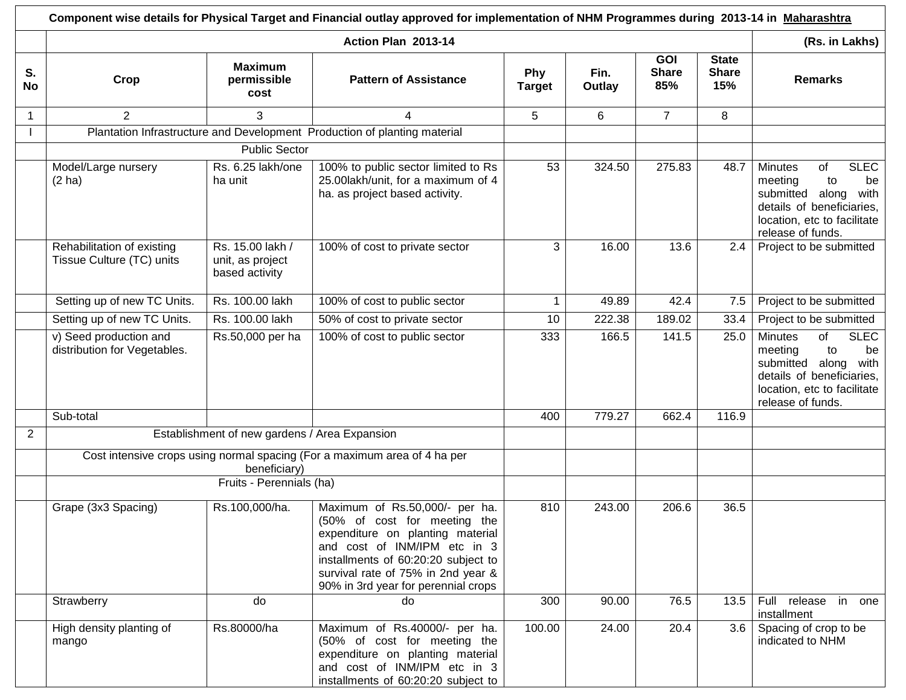|                 | Component wise details for Physical Target and Financial outlay approved for implementation of NHM Programmes during 2013-14 in Maharashtra |                                                        |                                                                                                                                                                                                                                                        |                      |                |                                   |                                     |                                                                                                                                                                        |  |  |
|-----------------|---------------------------------------------------------------------------------------------------------------------------------------------|--------------------------------------------------------|--------------------------------------------------------------------------------------------------------------------------------------------------------------------------------------------------------------------------------------------------------|----------------------|----------------|-----------------------------------|-------------------------------------|------------------------------------------------------------------------------------------------------------------------------------------------------------------------|--|--|
|                 |                                                                                                                                             |                                                        | Action Plan 2013-14                                                                                                                                                                                                                                    |                      |                |                                   |                                     | (Rs. in Lakhs)                                                                                                                                                         |  |  |
| S.<br><b>No</b> | Crop                                                                                                                                        | <b>Maximum</b><br>permissible<br>cost                  | <b>Pattern of Assistance</b>                                                                                                                                                                                                                           | Phy<br><b>Target</b> | Fin.<br>Outlay | <b>GOI</b><br><b>Share</b><br>85% | <b>State</b><br><b>Share</b><br>15% | <b>Remarks</b>                                                                                                                                                         |  |  |
| -1              | 2                                                                                                                                           | 3                                                      | 4                                                                                                                                                                                                                                                      | 5                    | 6              | $\overline{7}$                    | 8                                   |                                                                                                                                                                        |  |  |
|                 |                                                                                                                                             |                                                        | Plantation Infrastructure and Development Production of planting material                                                                                                                                                                              |                      |                |                                   |                                     |                                                                                                                                                                        |  |  |
|                 |                                                                                                                                             | <b>Public Sector</b>                                   |                                                                                                                                                                                                                                                        |                      |                |                                   |                                     |                                                                                                                                                                        |  |  |
|                 | Model/Large nursery<br>(2 ha)                                                                                                               | Rs. 6.25 lakh/one<br>ha unit                           | 100% to public sector limited to Rs<br>25.00lakh/unit, for a maximum of 4<br>ha. as project based activity.                                                                                                                                            | 53                   | 324.50         | 275.83                            | 48.7                                | <b>SLEC</b><br><b>Minutes</b><br>of<br>meeting<br>to<br>be<br>submitted along<br>with<br>details of beneficiaries,<br>location, etc to facilitate<br>release of funds. |  |  |
|                 | Rehabilitation of existing<br>Tissue Culture (TC) units                                                                                     | Rs. 15.00 lakh /<br>unit, as project<br>based activity | 100% of cost to private sector                                                                                                                                                                                                                         | 3                    | 16.00          | 13.6                              | 2.4                                 | Project to be submitted                                                                                                                                                |  |  |
|                 | Setting up of new TC Units.                                                                                                                 | Rs. 100.00 lakh                                        | 100% of cost to public sector                                                                                                                                                                                                                          | $\mathbf{1}$         | 49.89          | 42.4                              | 7.5                                 | Project to be submitted                                                                                                                                                |  |  |
|                 | Setting up of new TC Units.                                                                                                                 | Rs. 100.00 lakh                                        | 50% of cost to private sector                                                                                                                                                                                                                          | 10                   | 222.38         | 189.02                            | 33.4                                | Project to be submitted                                                                                                                                                |  |  |
|                 | v) Seed production and<br>distribution for Vegetables.                                                                                      | Rs.50,000 per ha                                       | 100% of cost to public sector                                                                                                                                                                                                                          | 333                  | 166.5          | 141.5                             | 25.0                                | of<br><b>SLEC</b><br><b>Minutes</b><br>meeting<br>to<br>be<br>with<br>submitted along<br>details of beneficiaries,<br>location, etc to facilitate<br>release of funds. |  |  |
|                 | Sub-total                                                                                                                                   |                                                        |                                                                                                                                                                                                                                                        | 400                  | 779.27         | 662.4                             | 116.9                               |                                                                                                                                                                        |  |  |
| $\overline{2}$  |                                                                                                                                             | Establishment of new gardens / Area Expansion          |                                                                                                                                                                                                                                                        |                      |                |                                   |                                     |                                                                                                                                                                        |  |  |
|                 |                                                                                                                                             | beneficiary)<br>Fruits - Perennials (ha)               | Cost intensive crops using normal spacing (For a maximum area of 4 ha per                                                                                                                                                                              |                      |                |                                   |                                     |                                                                                                                                                                        |  |  |
|                 | Grape (3x3 Spacing)                                                                                                                         | Rs.100,000/ha.                                         | Maximum of Rs.50,000/- per ha.<br>(50% of cost for meeting the<br>expenditure on planting material<br>and cost of INM/IPM etc in 3<br>installments of 60:20:20 subject to<br>survival rate of 75% in 2nd year &<br>90% in 3rd year for perennial crops | 810                  | 243.00         | 206.6                             | 36.5                                |                                                                                                                                                                        |  |  |
|                 | Strawberry                                                                                                                                  | do                                                     | do                                                                                                                                                                                                                                                     | 300                  | 90.00          | 76.5                              | 13.5                                | Full release in one<br>installment                                                                                                                                     |  |  |
|                 | High density planting of<br>mango                                                                                                           | Rs.80000/ha                                            | Maximum of Rs.40000/- per ha.<br>(50% of cost for meeting the<br>expenditure on planting material<br>and cost of INM/IPM etc in 3<br>installments of 60:20:20 subject to                                                                               | 100.00               | 24.00          | 20.4                              | 3.6                                 | Spacing of crop to be<br>indicated to NHM                                                                                                                              |  |  |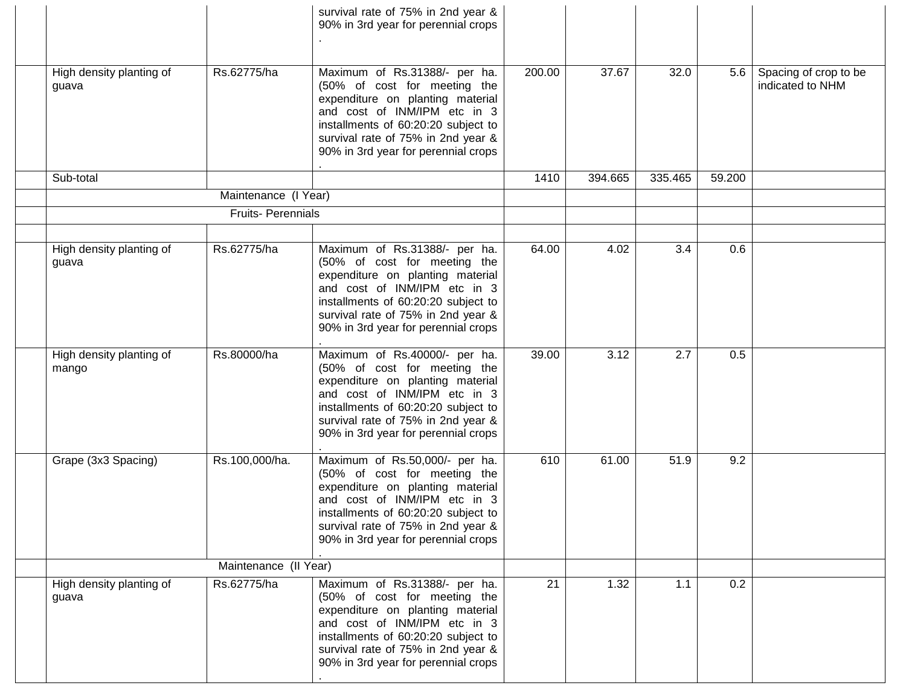|                                   |                      | survival rate of 75% in 2nd year &<br>90% in 3rd year for perennial crops                                                                                                                                                                              |        |         |         |        |                                           |
|-----------------------------------|----------------------|--------------------------------------------------------------------------------------------------------------------------------------------------------------------------------------------------------------------------------------------------------|--------|---------|---------|--------|-------------------------------------------|
| High density planting of<br>guava | Rs.62775/ha          | Maximum of Rs.31388/- per ha.<br>(50% of cost for meeting the<br>expenditure on planting material<br>and cost of INM/IPM etc in 3<br>installments of 60:20:20 subject to<br>survival rate of 75% in 2nd year &<br>90% in 3rd year for perennial crops  | 200.00 | 37.67   | 32.0    | 5.6    | Spacing of crop to be<br>indicated to NHM |
| Sub-total                         |                      |                                                                                                                                                                                                                                                        | 1410   | 394.665 | 335.465 | 59.200 |                                           |
|                                   | Maintenance (I Year) |                                                                                                                                                                                                                                                        |        |         |         |        |                                           |
| <b>Fruits-Perennials</b>          |                      |                                                                                                                                                                                                                                                        |        |         |         |        |                                           |
|                                   |                      |                                                                                                                                                                                                                                                        |        |         |         |        |                                           |
| High density planting of<br>guava | Rs.62775/ha          | Maximum of Rs.31388/- per ha.<br>(50% of cost for meeting the<br>expenditure on planting material<br>and cost of INM/IPM etc in 3<br>installments of 60:20:20 subject to<br>survival rate of 75% in 2nd year &<br>90% in 3rd year for perennial crops  | 64.00  | 4.02    | 3.4     | 0.6    |                                           |
| High density planting of<br>mango | Rs.80000/ha          | Maximum of Rs.40000/- per ha.<br>(50% of cost for meeting the<br>expenditure on planting material<br>and cost of INM/IPM etc in 3<br>installments of 60:20:20 subject to<br>survival rate of 75% in 2nd year &<br>90% in 3rd year for perennial crops  | 39.00  | 3.12    | 2.7     | 0.5    |                                           |
| Grape (3x3 Spacing)               | Rs.100,000/ha.       | Maximum of Rs.50,000/- per ha.<br>(50% of cost for meeting the<br>expenditure on planting material<br>and cost of INM/IPM etc in 3<br>installments of 60:20:20 subject to<br>survival rate of 75% in 2nd year &<br>90% in 3rd year for perennial crops | 610    | 61.00   | 51.9    | 9.2    |                                           |
| Maintenance (II Year)             |                      |                                                                                                                                                                                                                                                        |        |         |         |        |                                           |
| High density planting of<br>guava | Rs.62775/ha          | Maximum of Rs.31388/- per ha.<br>(50% of cost for meeting the<br>expenditure on planting material<br>and cost of INM/IPM etc in 3<br>installments of 60:20:20 subject to<br>survival rate of 75% in 2nd year &<br>90% in 3rd year for perennial crops  | 21     | 1.32    | 1.1     | 0.2    |                                           |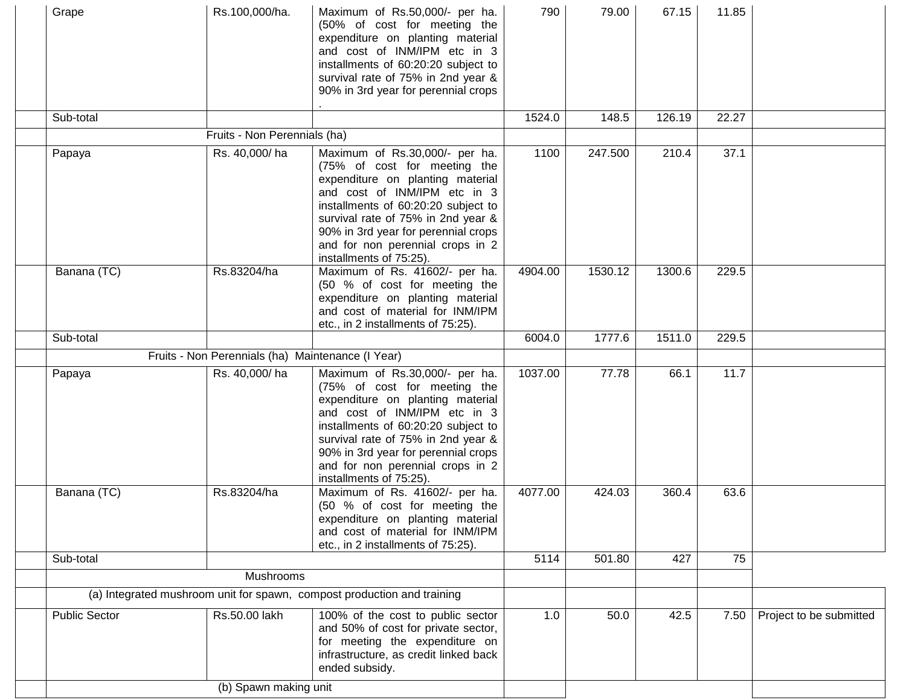| Grape                | Rs.100,000/ha.                                    | Maximum of Rs.50,000/- per ha.<br>(50% of cost for meeting the<br>expenditure on planting material<br>and cost of INM/IPM etc in 3<br>installments of 60:20:20 subject to<br>survival rate of 75% in 2nd year &<br>90% in 3rd year for perennial crops                                                                | 790     | 79.00   | 67.15  | 11.85 |                         |
|----------------------|---------------------------------------------------|-----------------------------------------------------------------------------------------------------------------------------------------------------------------------------------------------------------------------------------------------------------------------------------------------------------------------|---------|---------|--------|-------|-------------------------|
| Sub-total            |                                                   |                                                                                                                                                                                                                                                                                                                       | 1524.0  | 148.5   | 126.19 | 22.27 |                         |
|                      | Fruits - Non Perennials (ha)                      |                                                                                                                                                                                                                                                                                                                       |         |         |        |       |                         |
| Papaya               | Rs. 40,000/ha                                     | Maximum of Rs.30,000/- per ha.<br>(75% of cost for meeting the<br>expenditure on planting material<br>and cost of INM/IPM etc in 3<br>installments of 60:20:20 subject to<br>survival rate of 75% in 2nd year &<br>90% in 3rd year for perennial crops<br>and for non perennial crops in 2<br>installments of 75:25). | 1100    | 247.500 | 210.4  | 37.1  |                         |
| Banana (TC)          | Rs.83204/ha                                       | Maximum of Rs. 41602/- per ha.<br>(50 % of cost for meeting the<br>expenditure on planting material<br>and cost of material for INM/IPM<br>etc., in 2 installments of 75:25).                                                                                                                                         | 4904.00 | 1530.12 | 1300.6 | 229.5 |                         |
| Sub-total            |                                                   |                                                                                                                                                                                                                                                                                                                       | 6004.0  | 1777.6  | 1511.0 | 229.5 |                         |
|                      | Fruits - Non Perennials (ha) Maintenance (I Year) |                                                                                                                                                                                                                                                                                                                       |         |         |        |       |                         |
| Papaya               | Rs. 40,000/ha                                     | Maximum of Rs.30,000/- per ha.<br>(75% of cost for meeting the<br>expenditure on planting material<br>and cost of INM/IPM etc in 3<br>installments of 60:20:20 subject to<br>survival rate of 75% in 2nd year &<br>90% in 3rd year for perennial crops<br>and for non perennial crops in 2<br>installments of 75:25). | 1037.00 | 77.78   | 66.1   | 11.7  |                         |
| Banana (TC)          | Rs.83204/ha                                       | Maximum of Rs. 41602/- per ha.<br>(50 % of cost for meeting the<br>expenditure on planting material<br>and cost of material for INM/IPM<br>etc., in 2 installments of 75:25).                                                                                                                                         | 4077.00 | 424.03  | 360.4  | 63.6  |                         |
| Sub-total            |                                                   |                                                                                                                                                                                                                                                                                                                       | 5114    | 501.80  | 427    | 75    |                         |
|                      | Mushrooms                                         |                                                                                                                                                                                                                                                                                                                       |         |         |        |       |                         |
|                      |                                                   | (a) Integrated mushroom unit for spawn, compost production and training                                                                                                                                                                                                                                               |         |         |        |       |                         |
| <b>Public Sector</b> | Rs.50.00 lakh                                     | 100% of the cost to public sector<br>and 50% of cost for private sector,<br>for meeting the expenditure on<br>infrastructure, as credit linked back<br>ended subsidy.                                                                                                                                                 | 1.0     | 50.0    | 42.5   | 7.50  | Project to be submitted |
|                      | (b) Spawn making unit                             |                                                                                                                                                                                                                                                                                                                       |         |         |        |       |                         |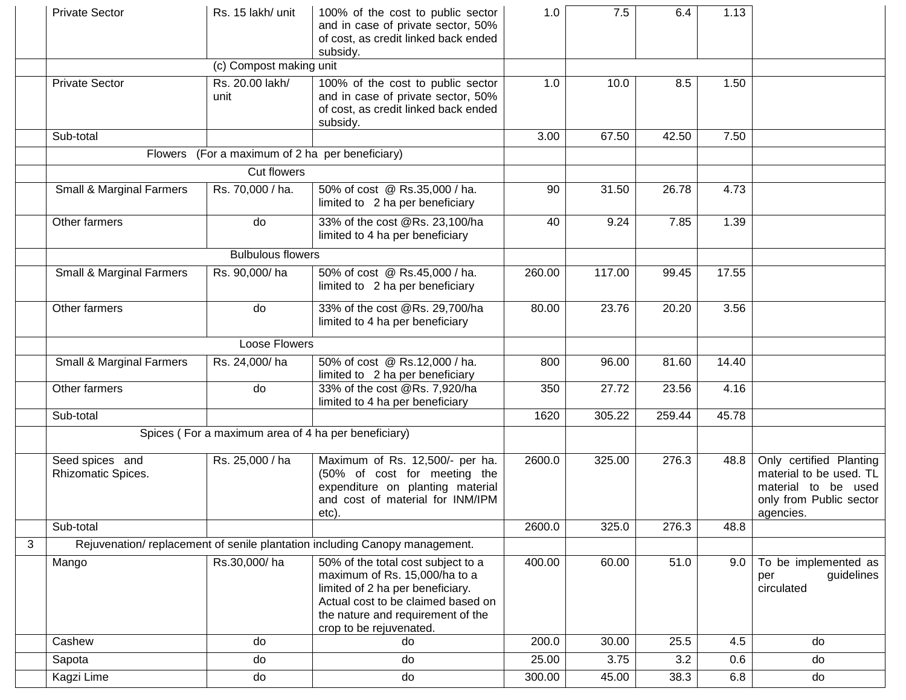|   | <b>Private Sector</b>                 | Rs. 15 lakh/ unit                                   | 100% of the cost to public sector<br>and in case of private sector, 50%<br>of cost, as credit linked back ended<br>subsidy.                                                                                   | 1.0    | 7.5    | 6.4    | 1.13  |                                                                                                                   |
|---|---------------------------------------|-----------------------------------------------------|---------------------------------------------------------------------------------------------------------------------------------------------------------------------------------------------------------------|--------|--------|--------|-------|-------------------------------------------------------------------------------------------------------------------|
|   |                                       | (c) Compost making unit                             |                                                                                                                                                                                                               |        |        |        |       |                                                                                                                   |
|   | <b>Private Sector</b>                 | Rs. 20.00 lakh/<br>unit                             | 100% of the cost to public sector<br>and in case of private sector, 50%<br>of cost, as credit linked back ended<br>subsidy.                                                                                   | 1.0    | 10.0   | 8.5    | 1.50  |                                                                                                                   |
|   | Sub-total                             |                                                     |                                                                                                                                                                                                               | 3.00   | 67.50  | 42.50  | 7.50  |                                                                                                                   |
|   |                                       | Flowers (For a maximum of 2 ha per beneficiary)     |                                                                                                                                                                                                               |        |        |        |       |                                                                                                                   |
|   |                                       | <b>Cut flowers</b>                                  |                                                                                                                                                                                                               |        |        |        |       |                                                                                                                   |
|   | <b>Small &amp; Marginal Farmers</b>   | Rs. 70,000 / ha.                                    | 50% of cost @ Rs.35,000 / ha.<br>limited to 2 ha per beneficiary                                                                                                                                              | 90     | 31.50  | 26.78  | 4.73  |                                                                                                                   |
|   | Other farmers                         | do                                                  | 33% of the cost @Rs. 23,100/ha<br>limited to 4 ha per beneficiary                                                                                                                                             | 40     | 9.24   | 7.85   | 1.39  |                                                                                                                   |
|   |                                       | <b>Bulbulous flowers</b>                            |                                                                                                                                                                                                               |        |        |        |       |                                                                                                                   |
|   | <b>Small &amp; Marginal Farmers</b>   | Rs. 90,000/ha                                       | 50% of cost @ Rs.45,000 / ha.<br>limited to 2 ha per beneficiary                                                                                                                                              | 260.00 | 117.00 | 99.45  | 17.55 |                                                                                                                   |
|   | Other farmers                         | do                                                  | 33% of the cost @Rs. 29,700/ha<br>limited to 4 ha per beneficiary                                                                                                                                             | 80.00  | 23.76  | 20.20  | 3.56  |                                                                                                                   |
|   | <b>Loose Flowers</b>                  |                                                     |                                                                                                                                                                                                               |        |        |        |       |                                                                                                                   |
|   | <b>Small &amp; Marginal Farmers</b>   | Rs. 24,000/ha                                       | 50% of cost @ Rs.12,000 / ha.<br>limited to 2 ha per beneficiary                                                                                                                                              | 800    | 96.00  | 81.60  | 14.40 |                                                                                                                   |
|   | Other farmers                         | do                                                  | 33% of the cost @Rs. 7,920/ha<br>limited to 4 ha per beneficiary                                                                                                                                              | 350    | 27.72  | 23.56  | 4.16  |                                                                                                                   |
|   | Sub-total                             |                                                     |                                                                                                                                                                                                               | 1620   | 305.22 | 259.44 | 45.78 |                                                                                                                   |
|   |                                       | Spices (For a maximum area of 4 ha per beneficiary) |                                                                                                                                                                                                               |        |        |        |       |                                                                                                                   |
|   | Seed spices and<br>Rhizomatic Spices. | Rs. 25,000 / ha                                     | Maximum of Rs. 12,500/- per ha.<br>(50% of cost for meeting the<br>expenditure on planting material<br>and cost of material for INM/IPM<br>etc).                                                              | 2600.0 | 325.00 | 276.3  | 48.8  | Only certified Planting<br>material to be used. TL<br>material to be used<br>only from Public sector<br>agencies. |
|   | Sub-total                             |                                                     |                                                                                                                                                                                                               | 2600.0 | 325.0  | 276.3  | 48.8  |                                                                                                                   |
| 3 |                                       |                                                     | Rejuvenation/replacement of senile plantation including Canopy management.                                                                                                                                    |        |        |        |       |                                                                                                                   |
|   | Mango                                 | Rs.30,000/ha                                        | 50% of the total cost subject to a<br>maximum of Rs. 15,000/ha to a<br>limited of 2 ha per beneficiary.<br>Actual cost to be claimed based on<br>the nature and requirement of the<br>crop to be rejuvenated. | 400.00 | 60.00  | 51.0   | 9.0   | To be implemented as<br>guidelines<br>per<br>circulated                                                           |
|   | Cashew                                | do                                                  | do                                                                                                                                                                                                            | 200.0  | 30.00  | 25.5   | 4.5   | do                                                                                                                |
|   | Sapota                                | do                                                  | do                                                                                                                                                                                                            | 25.00  | 3.75   | 3.2    | 0.6   | do                                                                                                                |
|   | Kagzi Lime                            | do                                                  | do                                                                                                                                                                                                            | 300.00 | 45.00  | 38.3   | 6.8   | do                                                                                                                |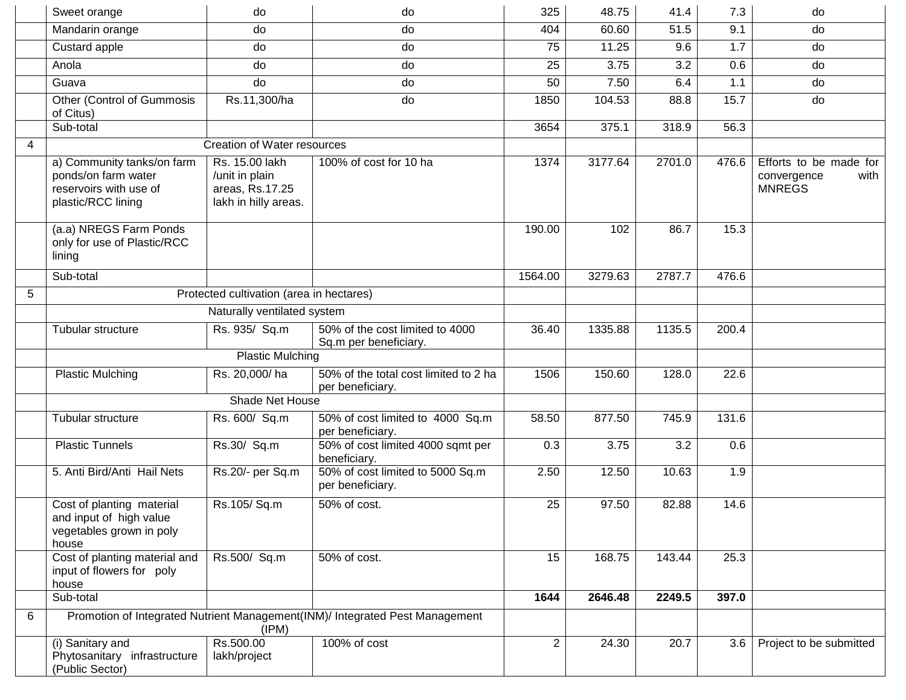|                | Sweet orange                                                                                      | do                                                                          | do                                                                           | 325            | 48.75   | 41.4   | 7.3   | do                                                             |
|----------------|---------------------------------------------------------------------------------------------------|-----------------------------------------------------------------------------|------------------------------------------------------------------------------|----------------|---------|--------|-------|----------------------------------------------------------------|
|                | Mandarin orange                                                                                   | do                                                                          | do                                                                           | 404            | 60.60   | 51.5   | 9.1   | do                                                             |
|                | Custard apple                                                                                     | do                                                                          | do                                                                           | 75             | 11.25   | 9.6    | 1.7   | do                                                             |
|                | Anola                                                                                             | do                                                                          | do                                                                           | 25             | 3.75    | 3.2    | 0.6   | do                                                             |
|                | Guava                                                                                             | do                                                                          | do                                                                           | 50             | 7.50    | 6.4    | 1.1   | do                                                             |
|                | Other (Control of Gummosis<br>of Citus)                                                           | Rs.11,300/ha                                                                | do                                                                           | 1850           | 104.53  | 88.8   | 15.7  | do                                                             |
|                | Sub-total                                                                                         |                                                                             |                                                                              | 3654           | 375.1   | 318.9  | 56.3  |                                                                |
| $\overline{4}$ |                                                                                                   | <b>Creation of Water resources</b>                                          |                                                                              |                |         |        |       |                                                                |
|                | a) Community tanks/on farm<br>ponds/on farm water<br>reservoirs with use of<br>plastic/RCC lining | Rs. 15.00 lakh<br>/unit in plain<br>areas, Rs.17.25<br>lakh in hilly areas. | 100% of cost for 10 ha                                                       | 1374           | 3177.64 | 2701.0 | 476.6 | Efforts to be made for<br>with<br>convergence<br><b>MNREGS</b> |
|                | (a.a) NREGS Farm Ponds<br>only for use of Plastic/RCC<br>lining                                   |                                                                             |                                                                              | 190.00         | 102     | 86.7   | 15.3  |                                                                |
|                | Sub-total                                                                                         |                                                                             |                                                                              | 1564.00        | 3279.63 | 2787.7 | 476.6 |                                                                |
| 5              | Protected cultivation (area in hectares)                                                          |                                                                             |                                                                              |                |         |        |       |                                                                |
|                | Naturally ventilated system                                                                       |                                                                             |                                                                              |                |         |        |       |                                                                |
|                | Tubular structure                                                                                 | Rs. 935/ Sq.m                                                               | 50% of the cost limited to 4000<br>Sq.m per beneficiary.                     | 36.40          | 1335.88 | 1135.5 | 200.4 |                                                                |
|                | <b>Plastic Mulching</b>                                                                           |                                                                             |                                                                              |                |         |        |       |                                                                |
|                | <b>Plastic Mulching</b>                                                                           | Rs. 20,000/ha                                                               | 50% of the total cost limited to 2 ha<br>per beneficiary.                    | 1506           | 150.60  | 128.0  | 22.6  |                                                                |
|                |                                                                                                   | Shade Net House                                                             |                                                                              |                |         |        |       |                                                                |
|                | Tubular structure                                                                                 | Rs. 600/ Sq.m                                                               | 50% of cost limited to 4000 Sq.m<br>per beneficiary.                         | 58.50          | 877.50  | 745.9  | 131.6 |                                                                |
|                | <b>Plastic Tunnels</b>                                                                            | Rs.30/ Sq.m                                                                 | 50% of cost limited 4000 sqmt per<br>beneficiary.                            | 0.3            | 3.75    | 3.2    | 0.6   |                                                                |
|                | 5. Anti Bird/Anti Hail Nets                                                                       | Rs.20/- per Sq.m                                                            | 50% of cost limited to 5000 Sq.m<br>per beneficiary.                         | 2.50           | 12.50   | 10.63  | 1.9   |                                                                |
|                | Cost of planting material<br>and input of high value<br>vegetables grown in poly<br>house         | Rs.105/Sq.m                                                                 | 50% of cost.                                                                 | 25             | 97.50   | 82.88  | 14.6  |                                                                |
|                | Cost of planting material and<br>input of flowers for poly<br>house                               | Rs.500/ Sq.m                                                                | 50% of cost.                                                                 | 15             | 168.75  | 143.44 | 25.3  |                                                                |
|                | Sub-total                                                                                         |                                                                             |                                                                              | 1644           | 2646.48 | 2249.5 | 397.0 |                                                                |
| 6              |                                                                                                   | (IPM)                                                                       | Promotion of Integrated Nutrient Management(INM)/ Integrated Pest Management |                |         |        |       |                                                                |
|                | (i) Sanitary and<br>Phytosanitary infrastructure<br>(Public Sector)                               | Rs.500.00<br>lakh/project                                                   | 100% of cost                                                                 | $\overline{c}$ | 24.30   | 20.7   | 3.6   | Project to be submitted                                        |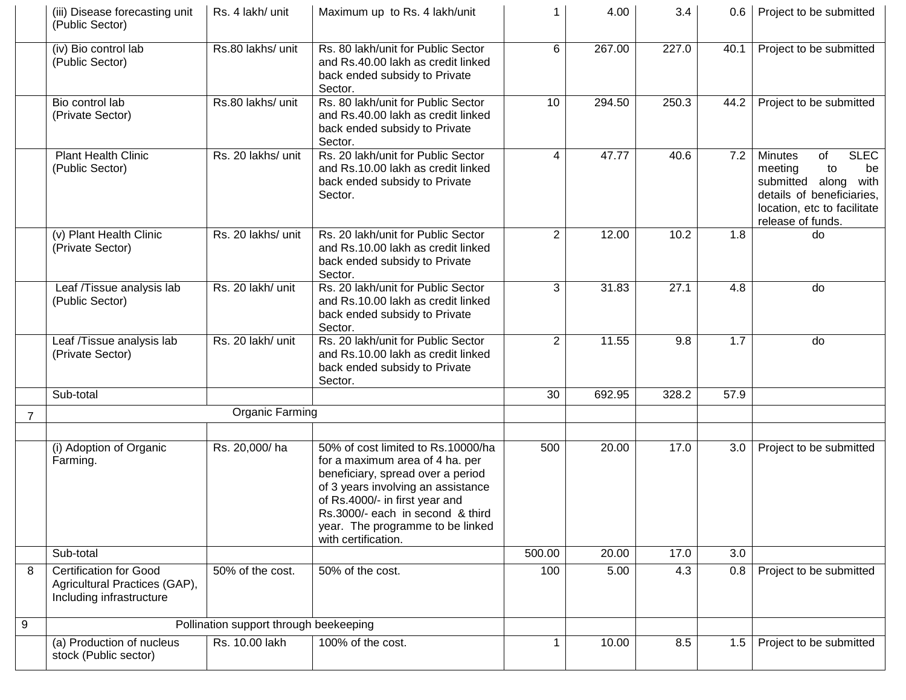|                | (iii) Disease forecasting unit<br>(Public Sector)                                          | Rs. 4 lakh/ unit                       | Maximum up to Rs. 4 lakh/unit                                                                                                                                                                                                                                                     | 1              | 4.00   | 3.4   |      | 0.6   Project to be submitted                                                                                                                                          |
|----------------|--------------------------------------------------------------------------------------------|----------------------------------------|-----------------------------------------------------------------------------------------------------------------------------------------------------------------------------------------------------------------------------------------------------------------------------------|----------------|--------|-------|------|------------------------------------------------------------------------------------------------------------------------------------------------------------------------|
|                | (iv) Bio control lab<br>(Public Sector)                                                    | Rs.80 lakhs/ unit                      | Rs. 80 lakh/unit for Public Sector<br>and Rs.40.00 lakh as credit linked<br>back ended subsidy to Private<br>Sector.                                                                                                                                                              | 6              | 267.00 | 227.0 | 40.1 | Project to be submitted                                                                                                                                                |
|                | Bio control lab<br>(Private Sector)                                                        | Rs.80 lakhs/ unit                      | Rs. 80 lakh/unit for Public Sector<br>and Rs.40.00 lakh as credit linked<br>back ended subsidy to Private<br>Sector.                                                                                                                                                              | 10             | 294.50 | 250.3 | 44.2 | Project to be submitted                                                                                                                                                |
|                | <b>Plant Health Clinic</b><br>(Public Sector)                                              | Rs. 20 lakhs/ unit                     | Rs. 20 lakh/unit for Public Sector<br>and Rs.10.00 lakh as credit linked<br>back ended subsidy to Private<br>Sector.                                                                                                                                                              | 4              | 47.77  | 40.6  | 7.2  | <b>SLEC</b><br><b>Minutes</b><br>of<br>meeting<br>to<br>be<br>submitted along<br>with<br>details of beneficiaries,<br>location, etc to facilitate<br>release of funds. |
|                | (v) Plant Health Clinic<br>(Private Sector)                                                | Rs. 20 lakhs/ unit                     | Rs. 20 lakh/unit for Public Sector<br>and Rs.10.00 lakh as credit linked<br>back ended subsidy to Private<br>Sector.                                                                                                                                                              | $\overline{2}$ | 12.00  | 10.2  | 1.8  | do                                                                                                                                                                     |
|                | Leaf /Tissue analysis lab<br>(Public Sector)                                               | Rs. 20 lakh/ unit                      | Rs. 20 lakh/unit for Public Sector<br>and Rs.10.00 lakh as credit linked<br>back ended subsidy to Private<br>Sector.                                                                                                                                                              | 3              | 31.83  | 27.1  | 4.8  | do                                                                                                                                                                     |
|                | Leaf /Tissue analysis lab<br>(Private Sector)                                              | Rs. 20 lakh/ unit                      | Rs. 20 lakh/unit for Public Sector<br>and Rs.10.00 lakh as credit linked<br>back ended subsidy to Private<br>Sector.                                                                                                                                                              | $\overline{2}$ | 11.55  | 9.8   | 1.7  | do                                                                                                                                                                     |
|                | Sub-total                                                                                  |                                        |                                                                                                                                                                                                                                                                                   | 30             | 692.95 | 328.2 | 57.9 |                                                                                                                                                                        |
| $\overline{7}$ |                                                                                            | Organic Farming                        |                                                                                                                                                                                                                                                                                   |                |        |       |      |                                                                                                                                                                        |
|                | (i) Adoption of Organic<br>Farming.                                                        | Rs. 20,000/ha                          | 50% of cost limited to Rs.10000/ha<br>for a maximum area of 4 ha. per<br>beneficiary, spread over a period<br>of 3 years involving an assistance<br>of Rs.4000/- in first year and<br>Rs.3000/- each in second & third<br>year. The programme to be linked<br>with certification. | 500            | 20.00  | 17.0  | 3.0  | Project to be submitted                                                                                                                                                |
|                | Sub-total                                                                                  |                                        |                                                                                                                                                                                                                                                                                   | 500.00         | 20.00  | 17.0  | 3.0  |                                                                                                                                                                        |
| 8              | <b>Certification for Good</b><br>Agricultural Practices (GAP),<br>Including infrastructure | 50% of the cost.                       | 50% of the cost.                                                                                                                                                                                                                                                                  | 100            | 5.00   | 4.3   | 0.8  | Project to be submitted                                                                                                                                                |
| 9              |                                                                                            | Pollination support through beekeeping |                                                                                                                                                                                                                                                                                   |                |        |       |      |                                                                                                                                                                        |
|                | (a) Production of nucleus<br>stock (Public sector)                                         | Rs. 10.00 lakh                         | 100% of the cost.                                                                                                                                                                                                                                                                 | $\mathbf{1}$   | 10.00  | 8.5   | 1.5  | Project to be submitted                                                                                                                                                |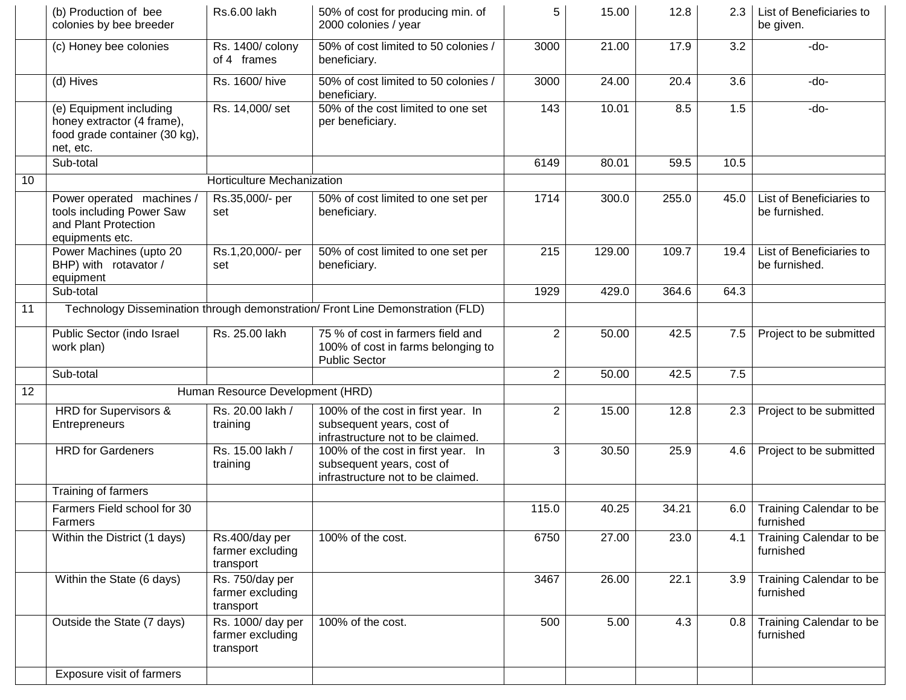|    | (b) Production of bee<br>colonies by bee breeder                                                    | Rs.6.00 lakh                                       | 50% of cost for producing min. of<br>2000 colonies / year                                            | 5              | 15.00  | 12.8  | 2.3  | List of Beneficiaries to<br>be given.     |
|----|-----------------------------------------------------------------------------------------------------|----------------------------------------------------|------------------------------------------------------------------------------------------------------|----------------|--------|-------|------|-------------------------------------------|
|    | (c) Honey bee colonies                                                                              | Rs. 1400/ colony<br>of 4 frames                    | 50% of cost limited to 50 colonies /<br>beneficiary.                                                 | 3000           | 21.00  | 17.9  | 3.2  | -do-                                      |
|    | (d) Hives                                                                                           | Rs. 1600/ hive                                     | 50% of cost limited to 50 colonies /<br>beneficiary.                                                 | 3000           | 24.00  | 20.4  | 3.6  | -do-                                      |
|    | (e) Equipment including<br>honey extractor (4 frame),<br>food grade container (30 kg),<br>net, etc. | Rs. 14,000/ set                                    | 50% of the cost limited to one set<br>per beneficiary.                                               | 143            | 10.01  | 8.5   | 1.5  | -do-                                      |
|    | Sub-total                                                                                           |                                                    |                                                                                                      | 6149           | 80.01  | 59.5  | 10.5 |                                           |
| 10 |                                                                                                     | Horticulture Mechanization                         |                                                                                                      |                |        |       |      |                                           |
|    | Power operated machines /<br>tools including Power Saw<br>and Plant Protection<br>equipments etc.   | Rs.35,000/- per<br>set                             | 50% of cost limited to one set per<br>beneficiary.                                                   | 1714           | 300.0  | 255.0 | 45.0 | List of Beneficiaries to<br>be furnished. |
|    | Power Machines (upto 20<br>BHP) with rotavator /<br>equipment                                       | Rs.1,20,000/- per<br>set                           | 50% of cost limited to one set per<br>beneficiary.                                                   | 215            | 129.00 | 109.7 | 19.4 | List of Beneficiaries to<br>be furnished. |
|    | Sub-total                                                                                           |                                                    |                                                                                                      | 1929           | 429.0  | 364.6 | 64.3 |                                           |
| 11 |                                                                                                     |                                                    | Technology Dissemination through demonstration/ Front Line Demonstration (FLD)                       |                |        |       |      |                                           |
|    | Public Sector (indo Israel<br>work plan)                                                            | Rs. 25.00 lakh                                     | 75 % of cost in farmers field and<br>100% of cost in farms belonging to<br><b>Public Sector</b>      | $\overline{2}$ | 50.00  | 42.5  | 7.5  | Project to be submitted                   |
|    | Sub-total                                                                                           |                                                    |                                                                                                      | $\overline{2}$ | 50.00  | 42.5  | 7.5  |                                           |
| 12 |                                                                                                     | Human Resource Development (HRD)                   |                                                                                                      |                |        |       |      |                                           |
|    | HRD for Supervisors &<br>Entrepreneurs                                                              | Rs. 20.00 lakh /<br>training                       | 100% of the cost in first year. In<br>subsequent years, cost of<br>infrastructure not to be claimed. | $\overline{2}$ | 15.00  | 12.8  | 2.3  | Project to be submitted                   |
|    | <b>HRD</b> for Gardeners                                                                            | Rs. 15.00 lakh /<br>training                       | 100% of the cost in first year. In<br>subsequent years, cost of<br>infrastructure not to be claimed. | 3              | 30.50  | 25.9  | 4.6  | Project to be submitted                   |
|    | Training of farmers                                                                                 |                                                    |                                                                                                      |                |        |       |      |                                           |
|    | Farmers Field school for 30<br>Farmers                                                              |                                                    |                                                                                                      | 115.0          | 40.25  | 34.21 | 6.0  | Training Calendar to be<br>furnished      |
|    | Within the District (1 days)                                                                        | Rs.400/day per<br>farmer excluding<br>transport    | 100% of the cost.                                                                                    | 6750           | 27.00  | 23.0  | 4.1  | Training Calendar to be<br>furnished      |
|    | Within the State (6 days)                                                                           | Rs. 750/day per<br>farmer excluding<br>transport   |                                                                                                      | 3467           | 26.00  | 22.1  | 3.9  | Training Calendar to be<br>furnished      |
|    | Outside the State (7 days)                                                                          | Rs. 1000/ day per<br>farmer excluding<br>transport | 100% of the cost.                                                                                    | 500            | 5.00   | 4.3   | 0.8  | Training Calendar to be<br>furnished      |
|    | Exposure visit of farmers                                                                           |                                                    |                                                                                                      |                |        |       |      |                                           |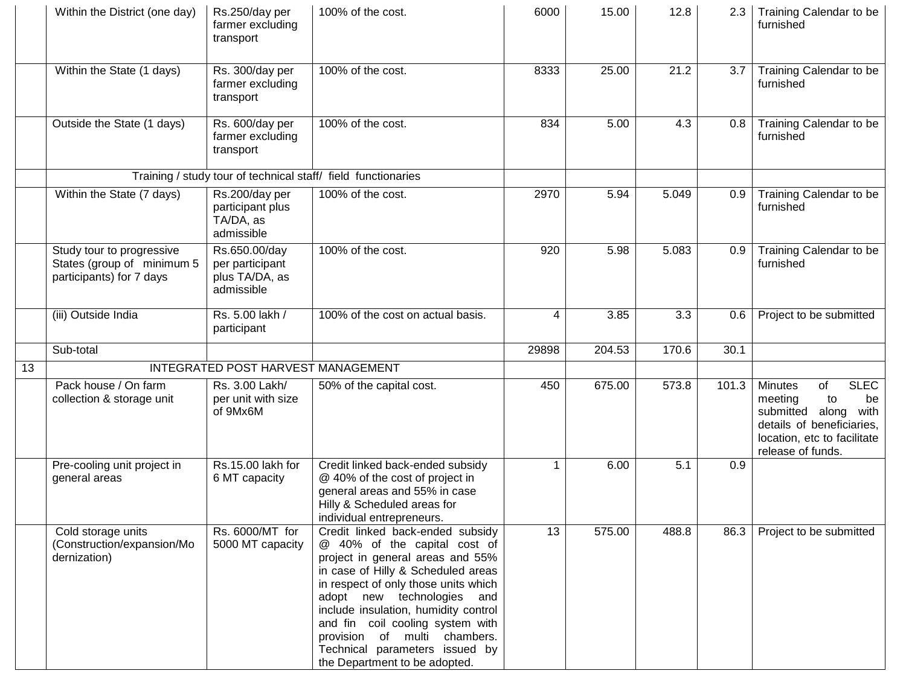|    | Within the District (one day)                                                       | Rs.250/day per<br>farmer excluding<br>transport                  | 100% of the cost.                                                                                                                                                                                                                                                                                                                                                                               | 6000  | 15.00  | 12.8  | 2.3   | Training Calendar to be<br>furnished                                                                                                                                |
|----|-------------------------------------------------------------------------------------|------------------------------------------------------------------|-------------------------------------------------------------------------------------------------------------------------------------------------------------------------------------------------------------------------------------------------------------------------------------------------------------------------------------------------------------------------------------------------|-------|--------|-------|-------|---------------------------------------------------------------------------------------------------------------------------------------------------------------------|
|    | Within the State (1 days)                                                           | Rs. 300/day per<br>farmer excluding<br>transport                 | 100% of the cost.                                                                                                                                                                                                                                                                                                                                                                               | 8333  | 25.00  | 21.2  | 3.7   | Training Calendar to be<br>furnished                                                                                                                                |
|    | Outside the State (1 days)                                                          | Rs. 600/day per<br>farmer excluding<br>transport                 | 100% of the cost.                                                                                                                                                                                                                                                                                                                                                                               | 834   | 5.00   | 4.3   | 0.8   | Training Calendar to be<br>furnished                                                                                                                                |
|    |                                                                                     |                                                                  | Training / study tour of technical staff/ field functionaries                                                                                                                                                                                                                                                                                                                                   |       |        |       |       |                                                                                                                                                                     |
|    | Within the State (7 days)                                                           | Rs.200/day per<br>participant plus<br>TA/DA, as<br>admissible    | 100% of the cost.                                                                                                                                                                                                                                                                                                                                                                               | 2970  | 5.94   | 5.049 | 0.9   | Training Calendar to be<br>furnished                                                                                                                                |
|    | Study tour to progressive<br>States (group of minimum 5<br>participants) for 7 days | Rs.650.00/day<br>per participant<br>plus TA/DA, as<br>admissible | 100% of the cost.                                                                                                                                                                                                                                                                                                                                                                               | 920   | 5.98   | 5.083 | 0.9   | Training Calendar to be<br>furnished                                                                                                                                |
|    | (iii) Outside India                                                                 | Rs. 5.00 lakh /<br>participant                                   | 100% of the cost on actual basis.                                                                                                                                                                                                                                                                                                                                                               | 4     | 3.85   | 3.3   | 0.6   | Project to be submitted                                                                                                                                             |
|    | Sub-total                                                                           |                                                                  |                                                                                                                                                                                                                                                                                                                                                                                                 | 29898 | 204.53 | 170.6 | 30.1  |                                                                                                                                                                     |
| 13 |                                                                                     | INTEGRATED POST HARVEST MANAGEMENT                               |                                                                                                                                                                                                                                                                                                                                                                                                 |       |        |       |       |                                                                                                                                                                     |
|    | Pack house / On farm<br>collection & storage unit                                   | Rs. 3.00 Lakh/<br>per unit with size<br>of 9Mx6M                 | 50% of the capital cost.                                                                                                                                                                                                                                                                                                                                                                        | 450   | 675.00 | 573.8 | 101.3 | <b>SLEC</b><br><b>Minutes</b><br>of<br>meeting<br>to<br>be<br>submitted along with<br>details of beneficiaries,<br>location, etc to facilitate<br>release of funds. |
|    | Pre-cooling unit project in<br>general areas                                        | Rs.15.00 lakh for<br>6 MT capacity                               | Credit linked back-ended subsidy<br>@ 40% of the cost of project in<br>general areas and 55% in case<br>Hilly & Scheduled areas for<br>individual entrepreneurs.                                                                                                                                                                                                                                |       | 6.00   | 5.1   | 0.9   |                                                                                                                                                                     |
|    | Cold storage units<br>(Construction/expansion/Mo<br>dernization)                    | Rs. 6000/MT for<br>5000 MT capacity                              | Credit linked back-ended subsidy<br>@ 40% of the capital cost of<br>project in general areas and 55%<br>in case of Hilly & Scheduled areas<br>in respect of only those units which<br>adopt new technologies and<br>include insulation, humidity control<br>and fin coil cooling system with<br>provision of multi chambers.<br>Technical parameters issued by<br>the Department to be adopted. | 13    | 575.00 | 488.8 | 86.3  | Project to be submitted                                                                                                                                             |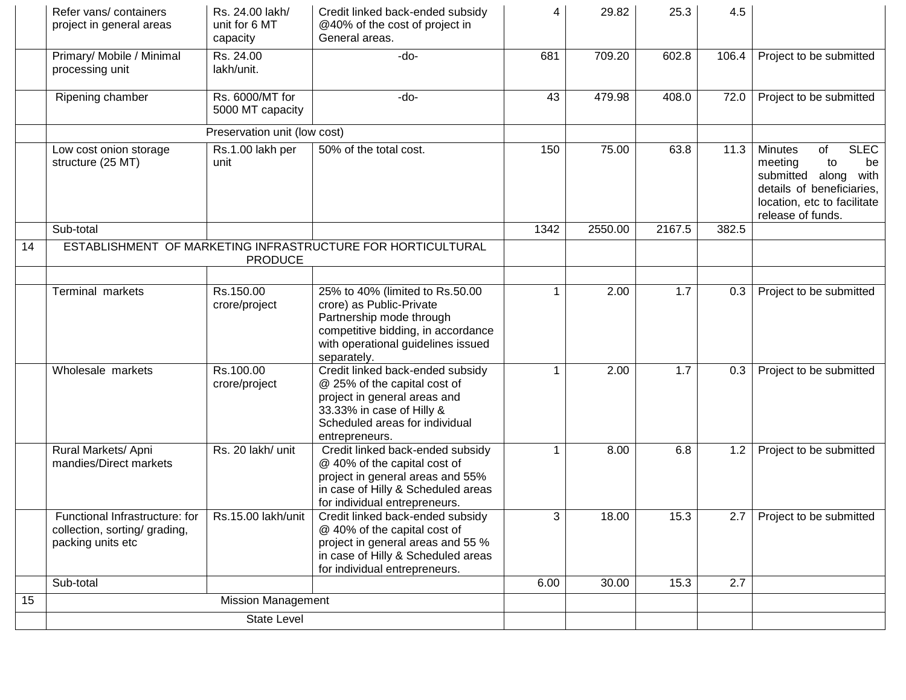|    | Refer vans/containers<br>project in general areas                                                         | Rs. 24.00 lakh/<br>unit for 6 MT<br>capacity | Credit linked back-ended subsidy<br>@40% of the cost of project in<br>General areas.                                                                                                             | 4    | 29.82   | 25.3   | 4.5   |                                                                                                                                                                        |
|----|-----------------------------------------------------------------------------------------------------------|----------------------------------------------|--------------------------------------------------------------------------------------------------------------------------------------------------------------------------------------------------|------|---------|--------|-------|------------------------------------------------------------------------------------------------------------------------------------------------------------------------|
|    | Primary/ Mobile / Minimal<br>processing unit                                                              | Rs. 24.00<br>lakh/unit.                      | -do-                                                                                                                                                                                             | 681  | 709.20  | 602.8  | 106.4 | Project to be submitted                                                                                                                                                |
|    | Ripening chamber                                                                                          | Rs. 6000/MT for<br>5000 MT capacity          | -do-                                                                                                                                                                                             | 43   | 479.98  | 408.0  | 72.0  | Project to be submitted                                                                                                                                                |
|    |                                                                                                           | Preservation unit (low cost)                 |                                                                                                                                                                                                  |      |         |        |       |                                                                                                                                                                        |
|    | Low cost onion storage<br>structure (25 MT)                                                               | Rs.1.00 lakh per<br>unit                     | 50% of the total cost.                                                                                                                                                                           | 150  | 75.00   | 63.8   | 11.3  | <b>SLEC</b><br><b>Minutes</b><br>of<br>meeting<br>to<br>be<br>submitted along<br>with<br>details of beneficiaries,<br>location, etc to facilitate<br>release of funds. |
|    | Sub-total                                                                                                 |                                              |                                                                                                                                                                                                  | 1342 | 2550.00 | 2167.5 | 382.5 |                                                                                                                                                                        |
| 14 |                                                                                                           | <b>PRODUCE</b>                               | ESTABLISHMENT OF MARKETING INFRASTRUCTURE FOR HORTICULTURAL                                                                                                                                      |      |         |        |       |                                                                                                                                                                        |
|    | Terminal markets                                                                                          | Rs.150.00<br>crore/project                   | 25% to 40% (limited to Rs.50.00<br>crore) as Public-Private<br>Partnership mode through<br>competitive bidding, in accordance<br>with operational guidelines issued                              | 1    | 2.00    | 1.7    | 0.3   | Project to be submitted                                                                                                                                                |
|    | Wholesale markets                                                                                         | Rs.100.00<br>crore/project                   | separately.<br>Credit linked back-ended subsidy<br>@ 25% of the capital cost of<br>project in general areas and<br>33.33% in case of Hilly &<br>Scheduled areas for individual<br>entrepreneurs. | 1    | 2.00    | 1.7    | 0.3   | Project to be submitted                                                                                                                                                |
|    | Rural Markets/ Apni<br>mandies/Direct markets                                                             | Rs. 20 lakh/ unit                            | Credit linked back-ended subsidy<br>@ 40% of the capital cost of<br>project in general areas and 55%<br>in case of Hilly & Scheduled areas<br>for individual entrepreneurs.                      | 1    | 8.00    | 6.8    | 1.2   | Project to be submitted                                                                                                                                                |
|    | Functional Infrastructure: for   Rs.15.00 lakh/unit<br>collection, sorting/ grading,<br>packing units etc |                                              | Credit linked back-ended subsidy<br>@ 40% of the capital cost of<br>project in general areas and 55 %<br>in case of Hilly & Scheduled areas<br>for individual entrepreneurs.                     | 3    | 18.00   | 15.3   |       | 2.7   Project to be submitted                                                                                                                                          |
|    | Sub-total                                                                                                 |                                              |                                                                                                                                                                                                  | 6.00 | 30.00   | 15.3   | 2.7   |                                                                                                                                                                        |
| 15 |                                                                                                           | <b>Mission Management</b>                    |                                                                                                                                                                                                  |      |         |        |       |                                                                                                                                                                        |
|    | <b>State Level</b>                                                                                        |                                              |                                                                                                                                                                                                  |      |         |        |       |                                                                                                                                                                        |